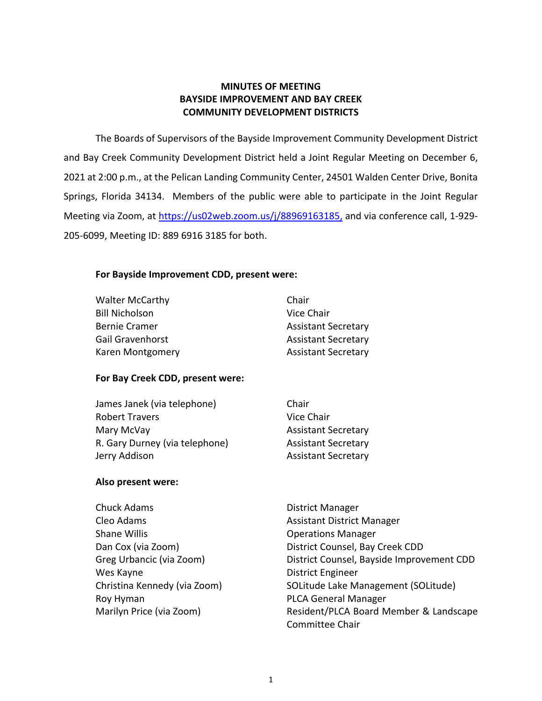# **MINUTES OF MEETING BAYSIDE IMPROVEMENT AND BAY CREEK COMMUNITY DEVELOPMENT DISTRICTS**

The Boards of Supervisors of the Bayside Improvement Community Development District and Bay Creek Community Development District held a Joint Regular Meeting on December 6, 2021 at 2:00 p.m., at the Pelican Landing Community Center, 24501 Walden Center Drive, Bonita Springs, Florida 34134. Members of the public were able to participate in the Joint Regular Meeting via Zoom, at [https://us02web.zoom.us/j/88969163185,](https://us02web.zoom.us/j/88969163185) and via conference call, 1-929-205-6099, Meeting ID: 889 6916 3185 for both.

# **For Bayside Improvement CDD, present were:**

| <b>Walter McCarthy</b>  | Chair                      |
|-------------------------|----------------------------|
| <b>Bill Nicholson</b>   | Vice Chair                 |
| <b>Bernie Cramer</b>    | <b>Assistant Secretary</b> |
| <b>Gail Gravenhorst</b> | <b>Assistant Secretary</b> |
| Karen Montgomery        | <b>Assistant Secretary</b> |

### **For Bay Creek CDD, present were:**

| Chair                      |
|----------------------------|
| Vice Chair                 |
| <b>Assistant Secretary</b> |
| <b>Assistant Secretary</b> |
| <b>Assistant Secretary</b> |
|                            |

### **Also present were:**

| Chuck Adams                  | <b>District Manager</b>                   |
|------------------------------|-------------------------------------------|
| Cleo Adams                   | <b>Assistant District Manager</b>         |
| Shane Willis                 | <b>Operations Manager</b>                 |
| Dan Cox (via Zoom)           | District Counsel, Bay Creek CDD           |
| Greg Urbancic (via Zoom)     | District Counsel, Bayside Improvement CDD |
| Wes Kayne                    | <b>District Engineer</b>                  |
| Christina Kennedy (via Zoom) | SOLitude Lake Management (SOLitude)       |
| Roy Hyman                    | <b>PLCA General Manager</b>               |
| Marilyn Price (via Zoom)     | Resident/PLCA Board Member & Landscape    |
|                              | <b>Committee Chair</b>                    |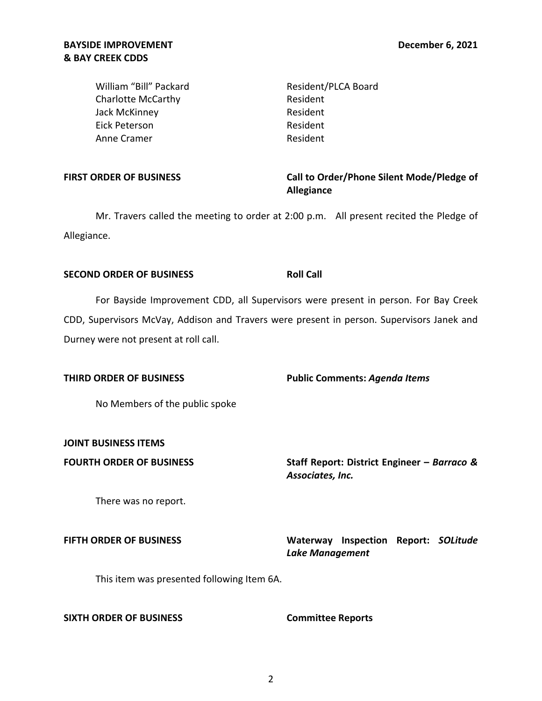## **BAYSIDE IMPROVEMENT & BAY CREEK CDDS**

William "Bill" Packard Charlotte McCarthy Jack McKinney Eick Peterson Anne Cramer

Resident/PLCA Board Resident Resident Resident Resident

### **FIRST ORDER OF BUSINESS**

# **Call to Order/Phone Silent Mode/Pledge of Allegiance**

Mr. Travers called the meeting to order at 2:00 p.m. All present recited the Pledge of Allegiance.

## **SECOND ORDER OF BUSINESS ROLL CALL**

For Bayside Improvement CDD, all Supervisors were present in person. For Bay Creek CDD, Supervisors McVay, Addison and Travers were present in person. Supervisors Janek and Durney were not present at roll call.

**THIRD ORDER OF BUSINESS Public Comments:** *Agenda Items* 

No Members of the public spoke

**JOINT BUSINESS ITEMS** 

FOURTH ORDER OF BUSINESS Staff Report: District Engineer – Barraco & *Associates, Inc.* 

There was no report.

**FIFTH ORDER OF BUSINESS Waterway Inspection Report:** *SOLitude Lake Management* 

This item was presented following Item 6A.

**SIXTH ORDER OF BUSINESS Committee Reports**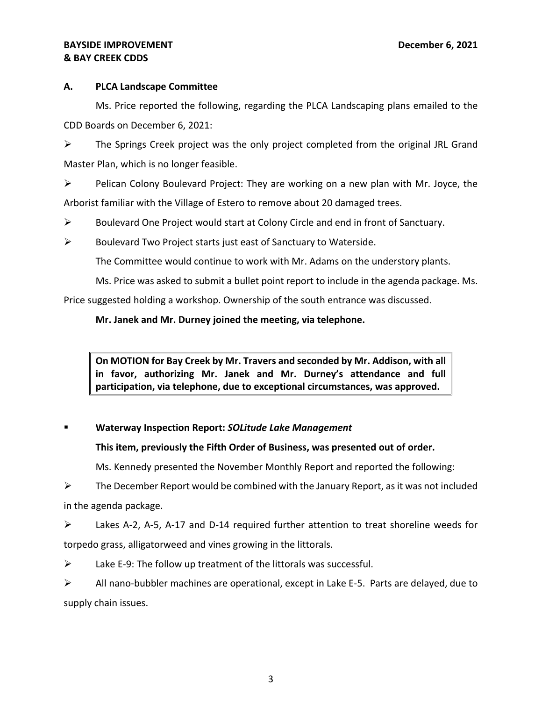## **BAYSIDE IMPROVEMENT DECALL ASSAULT ASSAULT ASSAULT ASSAULT AND DECEMber 6, 2021 & BAY CREEK CDDS**

# **A. PLCA Landscape Committee**

Ms. Price reported the following, regarding the PLCA Landscaping plans emailed to the CDD Boards on December 6, 2021:

 $\triangleright$  The Springs Creek project was the only project completed from the original JRL Grand Master Plan, which is no longer feasible.

➢ Pelican Colony Boulevard Project: They are working on a new plan with Mr. Joyce, the Arborist familiar with the Village of Estero to remove about 20 damaged trees.

- $\triangleright$  Boulevard One Project would start at Colony Circle and end in front of Sanctuary.
- $\triangleright$  Boulevard Two Project starts just east of Sanctuary to Waterside.

The Committee would continue to work with Mr. Adams on the understory plants.

Ms. Price was asked to submit a bullet point report to include in the agenda package. Ms.

Price suggested holding a workshop. Ownership of the south entrance was discussed.

# **Mr. Janek and Mr. Durney joined the meeting, via telephone.**

 **in favor, authorizing Mr. Janek and Mr. Durney's attendance and full On MOTION for Bay Creek by Mr. Travers and seconded by Mr. Addison, with all participation, via telephone, due to exceptional circumstances, was approved.** 

# **Waterway Inspection Report: SOLitude Lake Management**

# **This item, previously the Fifth Order of Business, was presented out of order.**

Ms. Kennedy presented the November Monthly Report and reported the following:

 $\triangleright$  The December Report would be combined with the January Report, as it was not included in the agenda package.

➢ Lakes A-2, A-5, A-17 and D-14 required further attention to treat shoreline weeds for torpedo grass, alligatorweed and vines growing in the littorals.

 $\triangleright$  Lake E-9: The follow up treatment of the littorals was successful.

➢ All nano-bubbler machines are operational, except in Lake E-5. Parts are delayed, due to supply chain issues.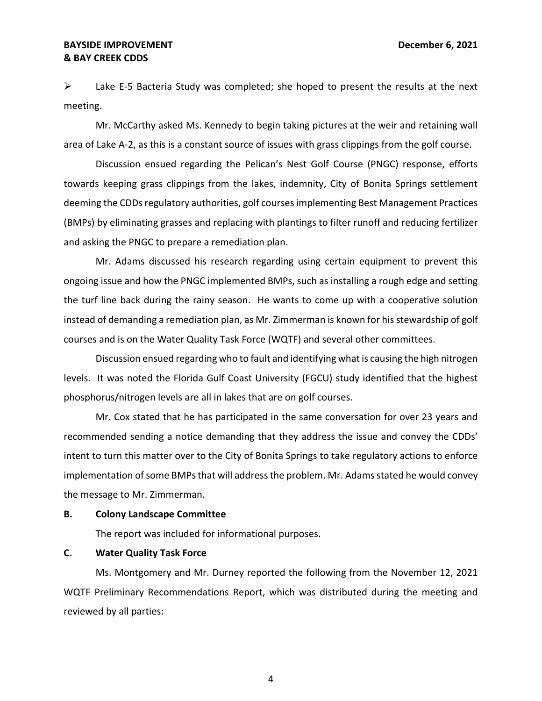### **BAYSIDE IMPROVEMENT December 6, 2021 & BAY CREEK CDDS**

 $\triangleright$  Lake E-5 Bacteria Study was completed; she hoped to present the results at the next meeting.

Mr. McCarthy asked Ms. Kennedy to begin taking pictures at the weir and retaining wall area of Lake A-2, as this is a constant source of issues with grass clippings from the golf course.

Discussion ensued regarding the Pelican's Nest Golf Course (PNGC) response, efforts towards keeping grass clippings from the lakes, indemnity, City of Bonita Springs settlement deeming the CDDs regulatory authorities, golf courses implementing Best Management Practices (BMPs) by eliminating grasses and replacing with plantings to filter runoff and reducing fertilizer and asking the PNGC to prepare a remediation plan.

Mr. Adams discussed his research regarding using certain equipment to prevent this ongoing issue and how the PNGC implemented BMPs, such as installing a rough edge and setting the turf line back during the rainy season. He wants to come up with a cooperative solution instead of demanding a remediation plan, as Mr. Zimmerman is known for his stewardship of golf courses and is on the Water Quality Task Force (WQTF) and several other committees.

Discussion ensued regarding who to fault and identifying what is causing the high nitrogen levels. It was noted the Florida Gulf Coast University (FGCU) study identified that the highest phosphorus/nitrogen levels are all in lakes that are on golf courses.

Mr. Cox stated that he has participated in the same conversation for over 23 years and recommended sending a notice demanding that they address the issue and convey the CDDs' intent to turn this matter over to the City of Bonita Springs to take regulatory actions to enforce implementation of some BMPs that will address the problem. Mr. Adams stated he would convey the message to Mr. Zimmerman.

#### **B. Colony Landscape Committee**

The report was included for informational purposes.

#### **C. Water Quality Task Force**

Ms. Montgomery and Mr. Durney reported the following from the November 12, 2021 WQTF Preliminary Recommendations Report, which was distributed during the meeting and reviewed by all parties:

4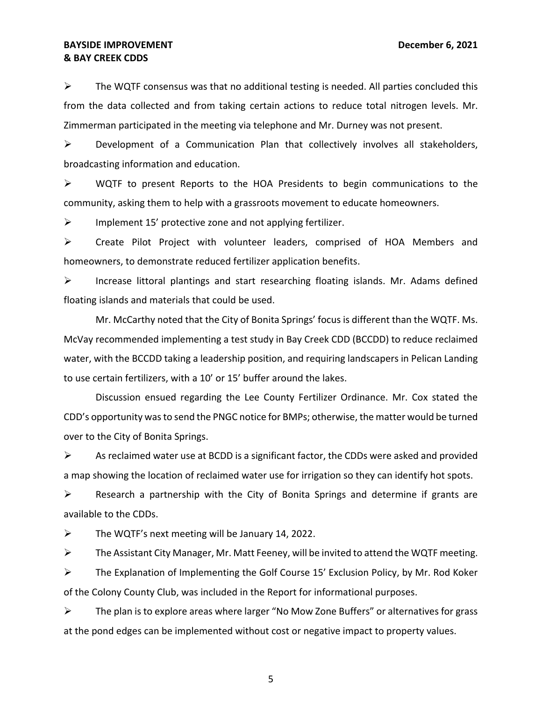### **BAYSIDE IMPROVEMENT DECALL ASSAULT ASSAULT ASSAULT ASSAULT AND DECEMber 6, 2021 & BAY CREEK CDDS**

 $\triangleright$  The WQTF consensus was that no additional testing is needed. All parties concluded this from the data collected and from taking certain actions to reduce total nitrogen levels. Mr. Zimmerman participated in the meeting via telephone and Mr. Durney was not present.

 $\triangleright$  Development of a Communication Plan that collectively involves all stakeholders, broadcasting information and education.

 $\triangleright$  WQTF to present Reports to the HOA Presidents to begin communications to the community, asking them to help with a grassroots movement to educate homeowners.

 $\triangleright$  Implement 15' protective zone and not applying fertilizer.

➢ Create Pilot Project with volunteer leaders, comprised of HOA Members and homeowners, to demonstrate reduced fertilizer application benefits.

 $\triangleright$  Increase littoral plantings and start researching floating islands. Mr. Adams defined floating islands and materials that could be used.

Mr. McCarthy noted that the City of Bonita Springs' focus is different than the WQTF. Ms. McVay recommended implementing a test study in Bay Creek CDD (BCCDD) to reduce reclaimed water, with the BCCDD taking a leadership position, and requiring landscapers in Pelican Landing to use certain fertilizers, with a 10' or 15' buffer around the lakes.

Discussion ensued regarding the Lee County Fertilizer Ordinance. Mr. Cox stated the CDD's opportunity was to send the PNGC notice for BMPs; otherwise, the matter would be turned over to the City of Bonita Springs.

 $\triangleright$  As reclaimed water use at BCDD is a significant factor, the CDDs were asked and provided a map showing the location of reclaimed water use for irrigation so they can identify hot spots.

 $\triangleright$  Research a partnership with the City of Bonita Springs and determine if grants are available to the CDDs.

 $\triangleright$  The WQTF's next meeting will be January 14, 2022.

 $\triangleright$  The Assistant City Manager, Mr. Matt Feeney, will be invited to attend the WQTF meeting.

 $\triangleright$  The Explanation of Implementing the Golf Course 15' Exclusion Policy, by Mr. Rod Koker of the Colony County Club, was included in the Report for informational purposes.

 ➢ The plan is to explore areas where larger "No Mow Zone Buffers" or alternatives for grass at the pond edges can be implemented without cost or negative impact to property values.

5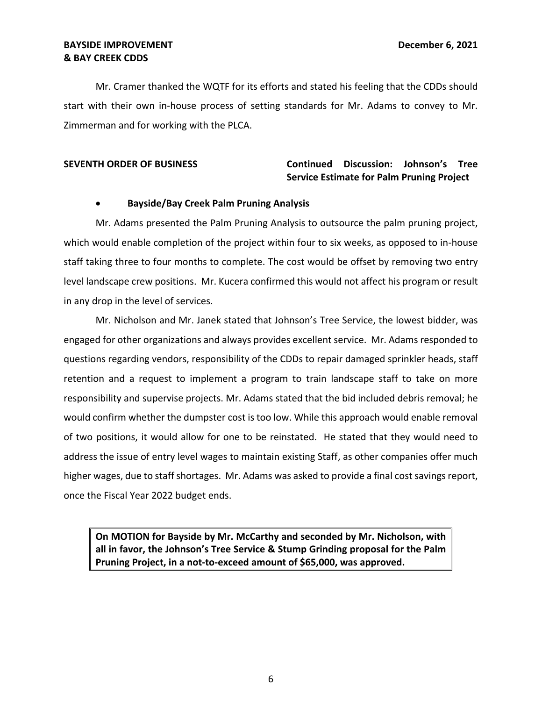## **BAYSIDE IMPROVEMENT DECEMBER 2021 & BAY CREEK CDDS**

Mr. Cramer thanked the WQTF for its efforts and stated his feeling that the CDDs should start with their own in-house process of setting standards for Mr. Adams to convey to Mr. Zimmerman and for working with the PLCA.

# **SEVENTH ORDER OF BUSINESS Continued Discussion: Johnson's Tree Service Estimate for Palm Pruning Project**

## • **Bayside/Bay Creek Palm Pruning Analysis**

Mr. Adams presented the Palm Pruning Analysis to outsource the palm pruning project, which would enable completion of the project within four to six weeks, as opposed to in-house staff taking three to four months to complete. The cost would be offset by removing two entry level landscape crew positions. Mr. Kucera confirmed this would not affect his program or result in any drop in the level of services.

Mr. Nicholson and Mr. Janek stated that Johnson's Tree Service, the lowest bidder, was engaged for other organizations and always provides excellent service. Mr. Adams responded to questions regarding vendors, responsibility of the CDDs to repair damaged sprinkler heads, staff retention and a request to implement a program to train landscape staff to take on more responsibility and supervise projects. Mr. Adams stated that the bid included debris removal; he would confirm whether the dumpster cost is too low. While this approach would enable removal of two positions, it would allow for one to be reinstated. He stated that they would need to address the issue of entry level wages to maintain existing Staff, as other companies offer much higher wages, due to staff shortages. Mr. Adams was asked to provide a final cost savings report, once the Fiscal Year 2022 budget ends.

**On MOTION for Bayside by Mr. McCarthy and seconded by Mr. Nicholson, with all in favor, the Johnson's Tree Service & Stump Grinding proposal for the Palm Pruning Project, in a not-to-exceed amount of \$65,000, was approved.**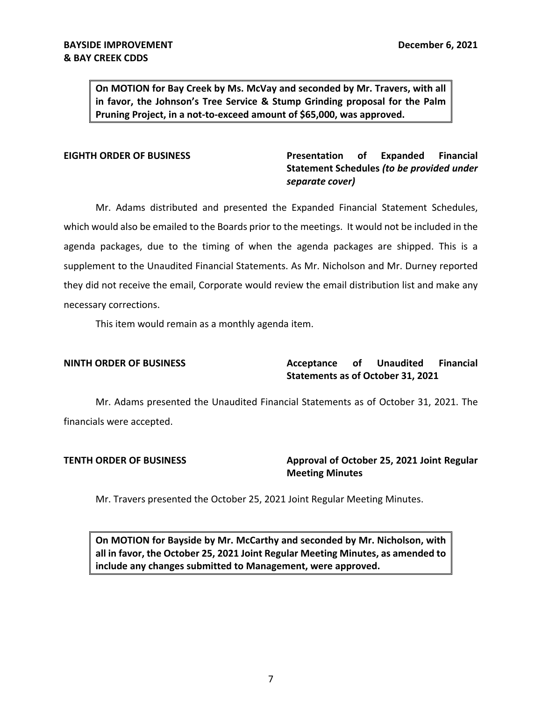**in favor, the Johnson's Tree Service & Stump Grinding proposal for the Palm On MOTION for Bay Creek by Ms. McVay and seconded by Mr. Travers, with all Pruning Project, in a not-to-exceed amount of \$65,000, was approved.** 

**EIGHTH ORDER OF BUSINESS Presentation of Expanded Financial Statement Schedules** *(to be provided under separate cover)* 

Mr. Adams distributed and presented the Expanded Financial Statement Schedules, which would also be emailed to the Boards prior to the meetings. It would not be included in the agenda packages, due to the timing of when the agenda packages are shipped. This is a supplement to the Unaudited Financial Statements. As Mr. Nicholson and Mr. Durney reported they did not receive the email, Corporate would review the email distribution list and make any necessary corrections.

This item would remain as a monthly agenda item.

**NINTH ORDER OF BUSINESS Acceptance of Unaudited Financial Statements as of October 31, 2021** 

Mr. Adams presented the Unaudited Financial Statements as of October 31, 2021. The financials were accepted.

**TENTH ORDER OF BUSINESS Approval of October 25, 2021 Joint Regular Meeting Minutes** 

Mr. Travers presented the October 25, 2021 Joint Regular Meeting Minutes.

**On MOTION for Bayside by Mr. McCarthy and seconded by Mr. Nicholson, with all in favor, the October 25, 2021 Joint Regular Meeting Minutes, as amended to include any changes submitted to Management, were approved.**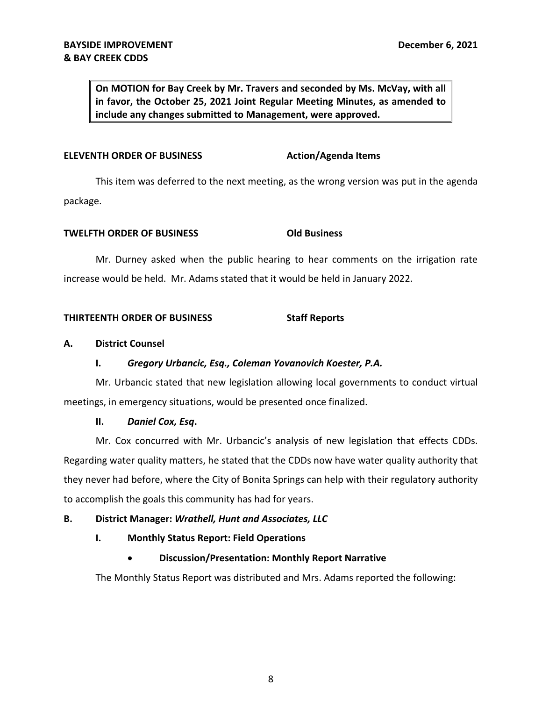**On MOTION for Bay Creek by Mr. Travers and seconded by Ms. McVay, with all in favor, the October 25, 2021 Joint Regular Meeting Minutes, as amended to include any changes submitted to Management, were approved.** 

### **ELEVENTH ORDER OF BUSINESS Action/Agenda Items**

This item was deferred to the next meeting, as the wrong version was put in the agenda package.

#### **TWELFTH ORDER OF BUSINESS COLD BUSINESS**

Mr. Durney asked when the public hearing to hear comments on the irrigation rate increase would be held. Mr. Adams stated that it would be held in January 2022.

### **THIRTEENTH ORDER OF BUSINESS Staff Reports**

### **A. District Counsel**

### **I.** *Gregory Urbancic, Esq., Coleman Yovanovich Koester, P.A.*

Mr. Urbancic stated that new legislation allowing local governments to conduct virtual meetings, in emergency situations, would be presented once finalized.

### **II.** *Daniel Cox, Esq***.**

 Mr. Cox concurred with Mr. Urbancic's analysis of new legislation that effects CDDs. Regarding water quality matters, he stated that the CDDs now have water quality authority that they never had before, where the City of Bonita Springs can help with their regulatory authority to accomplish the goals this community has had for years.

# **B. District Manager:** *Wrathell, Hunt and Associates, LLC*

# **I. Monthly Status Report: Field Operations**

# • **Discussion/Presentation: Monthly Report Narrative**

The Monthly Status Report was distributed and Mrs. Adams reported the following: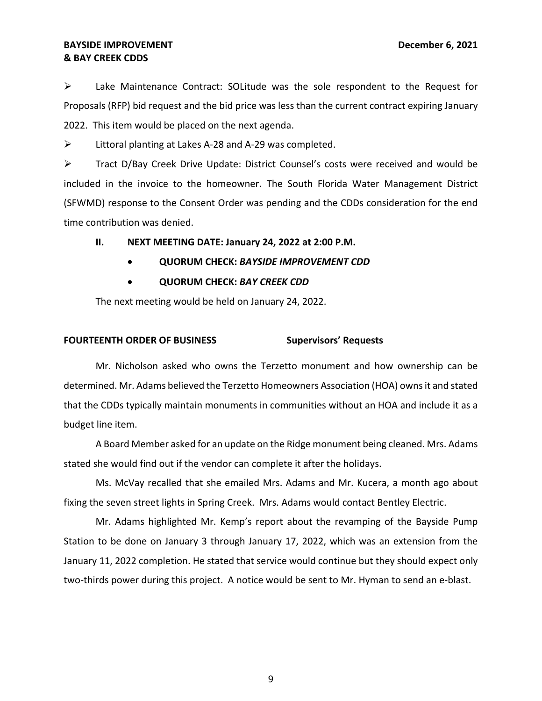### **BAYSIDE IMPROVEMENT DECALL ASSAULT ASSAULT ASSAULT ASSAULT AND DECEMber 6, 2021 & BAY CREEK CDDS**

➢ Lake Maintenance Contract: SOLitude was the sole respondent to the Request for Proposals (RFP) bid request and the bid price was less than the current contract expiring January 2022. This item would be placed on the next agenda.

➢ Littoral planting at Lakes A-28 and A-29 was completed.

➢ Tract D/Bay Creek Drive Update: District Counsel's costs were received and would be included in the invoice to the homeowner. The South Florida Water Management District (SFWMD) response to the Consent Order was pending and the CDDs consideration for the end time contribution was denied.

**II. NEXT MEETING DATE: January 24, 2022 at 2:00 P.M.** 

- **QUORUM CHECK:** *BAYSIDE IMPROVEMENT CDD*
- **QUORUM CHECK:** *BAY CREEK CDD*

The next meeting would be held on January 24, 2022.

# **FOURTEENTH ORDER OF BUSINESS Supervisors' Requests**

Mr. Nicholson asked who owns the Terzetto monument and how ownership can be determined. Mr. Adams believed the Terzetto Homeowners Association (HOA) owns it and stated that the CDDs typically maintain monuments in communities without an HOA and include it as a budget line item.

A Board Member asked for an update on the Ridge monument being cleaned. Mrs. Adams stated she would find out if the vendor can complete it after the holidays.

Ms. McVay recalled that she emailed Mrs. Adams and Mr. Kucera, a month ago about fixing the seven street lights in Spring Creek. Mrs. Adams would contact Bentley Electric.

 Mr. Adams highlighted Mr. Kemp's report about the revamping of the Bayside Pump Station to be done on January 3 through January 17, 2022, which was an extension from the January 11, 2022 completion. He stated that service would continue but they should expect only two-thirds power during this project. A notice would be sent to Mr. Hyman to send an e-blast.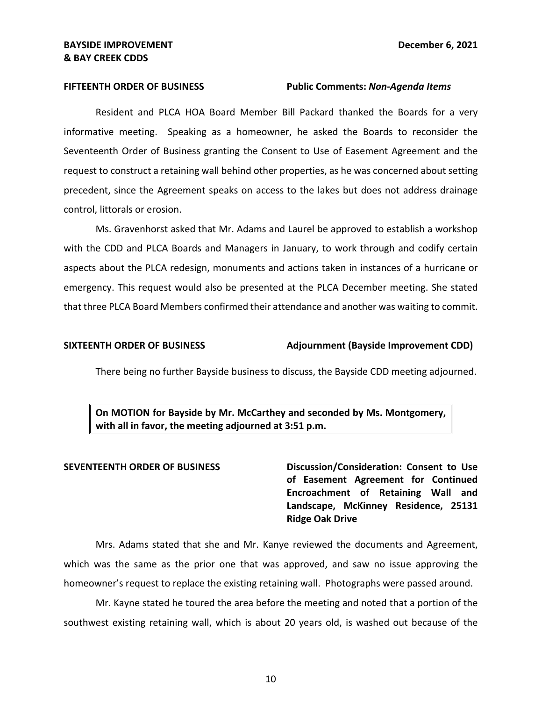#### **FIFTEENTH ORDER OF BUSINESS Public Comments:** *Non-Agenda Items*

Resident and PLCA HOA Board Member Bill Packard thanked the Boards for a very informative meeting. Speaking as a homeowner, he asked the Boards to reconsider the Seventeenth Order of Business granting the Consent to Use of Easement Agreement and the request to construct a retaining wall behind other properties, as he was concerned about setting precedent, since the Agreement speaks on access to the lakes but does not address drainage control, littorals or erosion.

Ms. Gravenhorst asked that Mr. Adams and Laurel be approved to establish a workshop with the CDD and PLCA Boards and Managers in January, to work through and codify certain aspects about the PLCA redesign, monuments and actions taken in instances of a hurricane or emergency. This request would also be presented at the PLCA December meeting. She stated that three PLCA Board Members confirmed their attendance and another was waiting to commit.

#### SIXTEENTH ORDER OF BUSINESS Adjournment (Bayside Improvement CDD)

There being no further Bayside business to discuss, the Bayside CDD meeting adjourned.

**On MOTION for Bayside by Mr. McCarthey and seconded by Ms. Montgomery, with all in favor, the meeting adjourned at 3:51 p.m.** 

**SEVENTEENTH ORDER OF BUSINESS Discussion/Consideration: Consent to Use of Easement Agreement for Continued Encroachment of Retaining Wall and Landscape, McKinney Residence, 25131 Ridge Oak Drive** 

Mrs. Adams stated that she and Mr. Kanye reviewed the documents and Agreement, which was the same as the prior one that was approved, and saw no issue approving the homeowner's request to replace the existing retaining wall. Photographs were passed around.

Mr. Kayne stated he toured the area before the meeting and noted that a portion of the southwest existing retaining wall, which is about 20 years old, is washed out because of the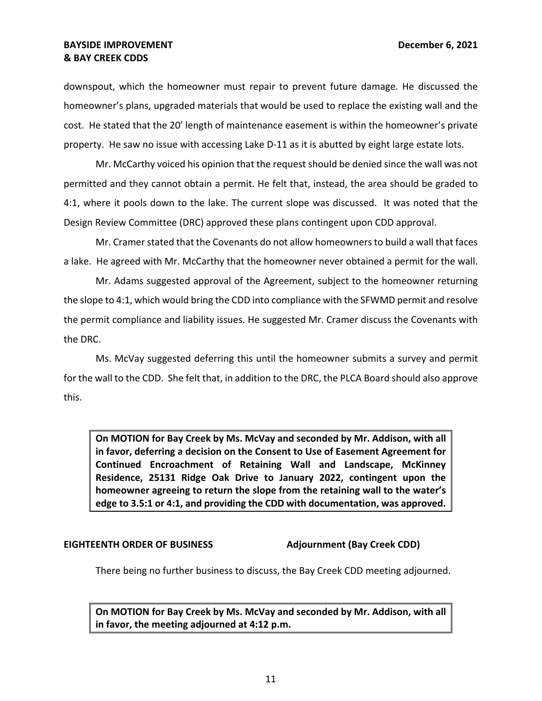### **BAYSIDE IMPROVEMENT DECEMBER 2021 & BAY CREEK CDDS**

downspout, which the homeowner must repair to prevent future damage. He discussed the homeowner's plans, upgraded materials that would be used to replace the existing wall and the cost. He stated that the 20' length of maintenance easement is within the homeowner's private property. He saw no issue with accessing Lake D-11 as it is abutted by eight large estate lots.

Mr. McCarthy voiced his opinion that the request should be denied since the wall was not permitted and they cannot obtain a permit. He felt that, instead, the area should be graded to 4:1, where it pools down to the lake. The current slope was discussed. It was noted that the Design Review Committee (DRC) approved these plans contingent upon CDD approval.

Mr. Cramer stated that the Covenants do not allow homeowners to build a wall that faces a lake. He agreed with Mr. McCarthy that the homeowner never obtained a permit for the wall.

Mr. Adams suggested approval of the Agreement, subject to the homeowner returning the slope to 4:1, which would bring the CDD into compliance with the SFWMD permit and resolve the permit compliance and liability issues. He suggested Mr. Cramer discuss the Covenants with the DRC.

Ms. McVay suggested deferring this until the homeowner submits a survey and permit for the wall to the CDD. She felt that, in addition to the DRC, the PLCA Board should also approve this.

 **homeowner agreeing to return the slope from the retaining wall to the water's On MOTION for Bay Creek by Ms. McVay and seconded by Mr. Addison, with all in favor, deferring a decision on the Consent to Use of Easement Agreement for Continued Encroachment of Retaining Wall and Landscape, McKinney Residence, 25131 Ridge Oak Drive to January 2022, contingent upon the edge to 3.5:1 or 4:1, and providing the CDD with documentation, was approved.** 

### **EIGHTEENTH ORDER OF BUSINESS Adjournment (Bay Creek CDD)**

There being no further business to discuss, the Bay Creek CDD meeting adjourned.

**On MOTION for Bay Creek by Ms. McVay and seconded by Mr. Addison, with all in favor, the meeting adjourned at 4:12 p.m.**